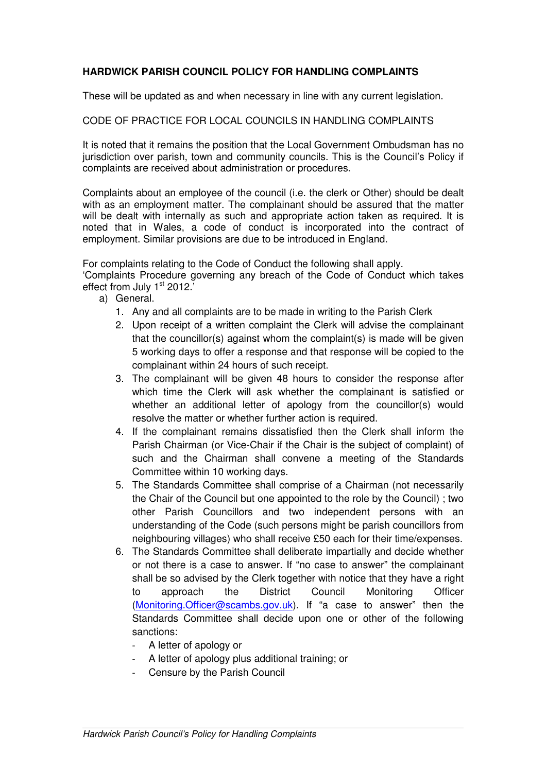## **HARDWICK PARISH COUNCIL POLICY FOR HANDLING COMPLAINTS**

These will be updated as and when necessary in line with any current legislation.

## CODE OF PRACTICE FOR LOCAL COUNCILS IN HANDLING COMPLAINTS

It is noted that it remains the position that the Local Government Ombudsman has no jurisdiction over parish, town and community councils. This is the Council's Policy if complaints are received about administration or procedures.

Complaints about an employee of the council (i.e. the clerk or Other) should be dealt with as an employment matter. The complainant should be assured that the matter will be dealt with internally as such and appropriate action taken as required. It is noted that in Wales, a code of conduct is incorporated into the contract of employment. Similar provisions are due to be introduced in England.

For complaints relating to the Code of Conduct the following shall apply.

'Complaints Procedure governing any breach of the Code of Conduct which takes effect from July 1<sup>st</sup> 2012.

- a) General.
	- 1. Any and all complaints are to be made in writing to the Parish Clerk
	- 2. Upon receipt of a written complaint the Clerk will advise the complainant that the councillor(s) against whom the complaint(s) is made will be given 5 working days to offer a response and that response will be copied to the complainant within 24 hours of such receipt.
	- 3. The complainant will be given 48 hours to consider the response after which time the Clerk will ask whether the complainant is satisfied or whether an additional letter of apology from the councillor(s) would resolve the matter or whether further action is required.
	- 4. If the complainant remains dissatisfied then the Clerk shall inform the Parish Chairman (or Vice-Chair if the Chair is the subject of complaint) of such and the Chairman shall convene a meeting of the Standards Committee within 10 working days.
	- 5. The Standards Committee shall comprise of a Chairman (not necessarily the Chair of the Council but one appointed to the role by the Council) ; two other Parish Councillors and two independent persons with an understanding of the Code (such persons might be parish councillors from neighbouring villages) who shall receive £50 each for their time/expenses.
	- 6. The Standards Committee shall deliberate impartially and decide whether or not there is a case to answer. If "no case to answer" the complainant shall be so advised by the Clerk together with notice that they have a right to approach the District Council Monitoring Officer (Monitoring.Officer@scambs.gov.uk). If "a case to answer" then the Standards Committee shall decide upon one or other of the following sanctions:
		- A letter of apology or
		- A letter of apology plus additional training; or
		- Censure by the Parish Council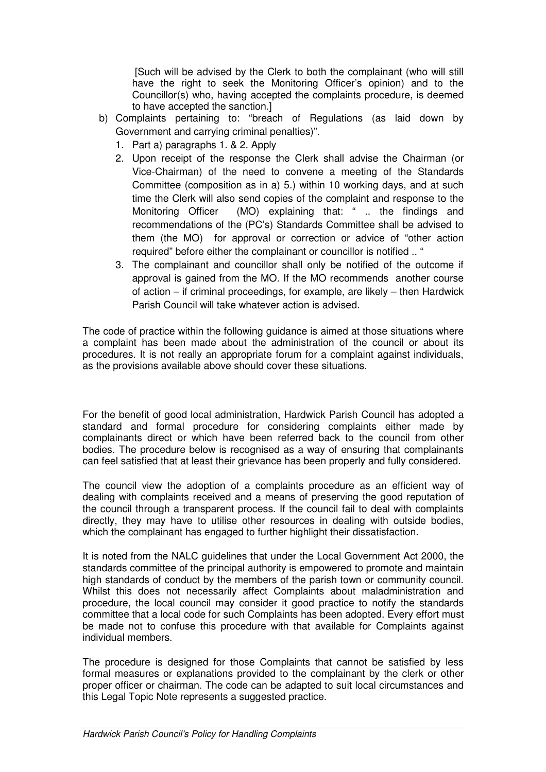[Such will be advised by the Clerk to both the complainant (who will still have the right to seek the Monitoring Officer's opinion) and to the Councillor(s) who, having accepted the complaints procedure, is deemed to have accepted the sanction.]

- b) Complaints pertaining to: "breach of Regulations (as laid down by Government and carrying criminal penalties)".
	- 1. Part a) paragraphs 1. & 2. Apply
	- 2. Upon receipt of the response the Clerk shall advise the Chairman (or Vice-Chairman) of the need to convene a meeting of the Standards Committee (composition as in a) 5.) within 10 working days, and at such time the Clerk will also send copies of the complaint and response to the Monitoring Officer (MO) explaining that: " .. the findings and recommendations of the (PC's) Standards Committee shall be advised to them (the MO) for approval or correction or advice of "other action required" before either the complainant or councillor is notified .. "
	- 3. The complainant and councillor shall only be notified of the outcome if approval is gained from the MO. If the MO recommends another course of action – if criminal proceedings, for example, are likely – then Hardwick Parish Council will take whatever action is advised.

The code of practice within the following guidance is aimed at those situations where a complaint has been made about the administration of the council or about its procedures. It is not really an appropriate forum for a complaint against individuals, as the provisions available above should cover these situations.

For the benefit of good local administration, Hardwick Parish Council has adopted a standard and formal procedure for considering complaints either made by complainants direct or which have been referred back to the council from other bodies. The procedure below is recognised as a way of ensuring that complainants can feel satisfied that at least their grievance has been properly and fully considered.

The council view the adoption of a complaints procedure as an efficient way of dealing with complaints received and a means of preserving the good reputation of the council through a transparent process. If the council fail to deal with complaints directly, they may have to utilise other resources in dealing with outside bodies, which the complainant has engaged to further highlight their dissatisfaction.

It is noted from the NALC guidelines that under the Local Government Act 2000, the standards committee of the principal authority is empowered to promote and maintain high standards of conduct by the members of the parish town or community council. Whilst this does not necessarily affect Complaints about maladministration and procedure, the local council may consider it good practice to notify the standards committee that a local code for such Complaints has been adopted. Every effort must be made not to confuse this procedure with that available for Complaints against individual members.

The procedure is designed for those Complaints that cannot be satisfied by less formal measures or explanations provided to the complainant by the clerk or other proper officer or chairman. The code can be adapted to suit local circumstances and this Legal Topic Note represents a suggested practice.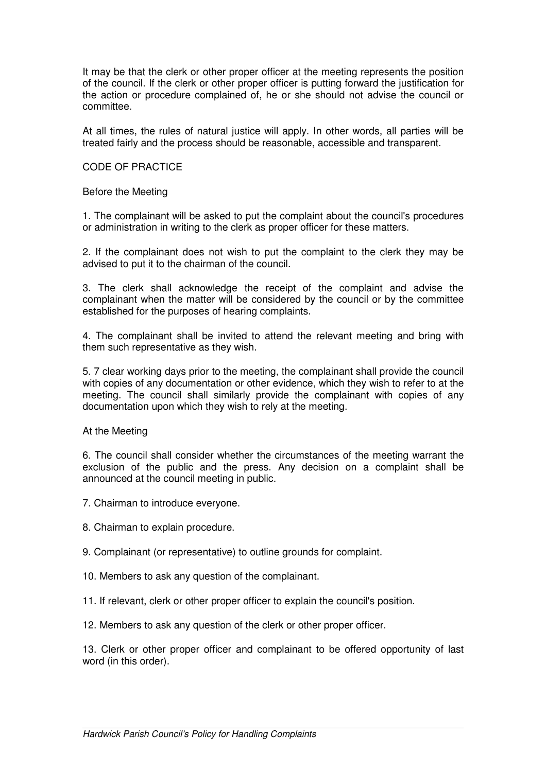It may be that the clerk or other proper officer at the meeting represents the position of the council. If the clerk or other proper officer is putting forward the justification for the action or procedure complained of, he or she should not advise the council or committee.

At all times, the rules of natural justice will apply. In other words, all parties will be treated fairly and the process should be reasonable, accessible and transparent.

## CODE OF PRACTICE

Before the Meeting

1. The complainant will be asked to put the complaint about the council's procedures or administration in writing to the clerk as proper officer for these matters.

2. If the complainant does not wish to put the complaint to the clerk they may be advised to put it to the chairman of the council.

3. The clerk shall acknowledge the receipt of the complaint and advise the complainant when the matter will be considered by the council or by the committee established for the purposes of hearing complaints.

4. The complainant shall be invited to attend the relevant meeting and bring with them such representative as they wish.

5. 7 clear working days prior to the meeting, the complainant shall provide the council with copies of any documentation or other evidence, which they wish to refer to at the meeting. The council shall similarly provide the complainant with copies of any documentation upon which they wish to rely at the meeting.

At the Meeting

6. The council shall consider whether the circumstances of the meeting warrant the exclusion of the public and the press. Any decision on a complaint shall be announced at the council meeting in public.

7. Chairman to introduce everyone.

8. Chairman to explain procedure.

9. Complainant (or representative) to outline grounds for complaint.

- 10. Members to ask any question of the complainant.
- 11. If relevant, clerk or other proper officer to explain the council's position.

12. Members to ask any question of the clerk or other proper officer.

13. Clerk or other proper officer and complainant to be offered opportunity of last word (in this order).